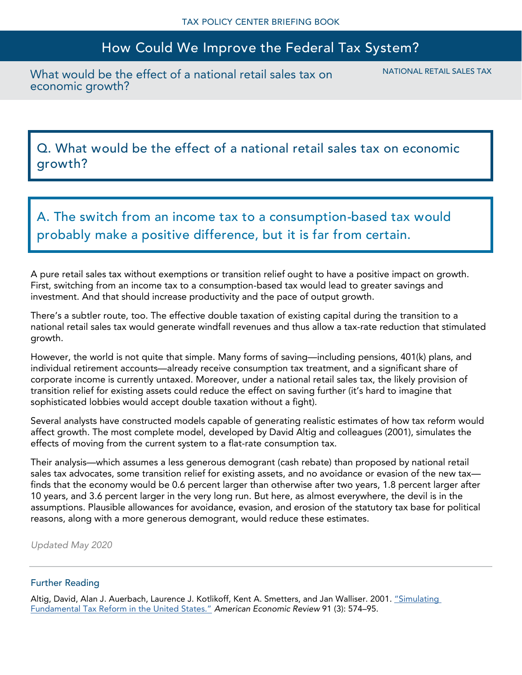## How Could We Improve the Federal Tax System?

What would be the effect of a national retail sales tax on economic growth?

NATIONAL RETAIL SALES TAX

Q. What would be the effect of a national retail sales tax on economic growth?

A. The switch from an income tax to a consumption-based tax would probably make a positive difference, but it is far from certain.

A pure retail sales tax without exemptions or transition relief ought to have a positive impact on growth. First, switching from an income tax to a consumption-based tax would lead to greater savings and investment. And that should increase productivity and the pace of output growth.

There's a subtler route, too. The effective double taxation of existing capital during the transition to a national retail sales tax would generate windfall revenues and thus allow a tax-rate reduction that stimulated growth.

However, the world is not quite that simple. Many forms of saving—including pensions, 401(k) plans, and individual retirement accounts—already receive consumption tax treatment, and a significant share of corporate income is currently untaxed. Moreover, under a national retail sales tax, the likely provision of transition relief for existing assets could reduce the effect on saving further (it's hard to imagine that sophisticated lobbies would accept double taxation without a fight).

Several analysts have constructed models capable of generating realistic estimates of how tax reform would affect growth. The most complete model, developed by David Altig and colleagues (2001), simulates the effects of moving from the current system to a flat-rate consumption tax.

Their analysis—which assumes a less generous demogrant (cash rebate) than proposed by national retail sales tax advocates, some transition relief for existing assets, and no avoidance or evasion of the new tax finds that the economy would be 0.6 percent larger than otherwise after two years, 1.8 percent larger after 10 years, and 3.6 percent larger in the very long run. But here, as almost everywhere, the devil is in the assumptions. Plausible allowances for avoidance, evasion, and erosion of the statutory tax base for political reasons, along with a more generous demogrant, would reduce these estimates.

*Updated May 2020*

## Further Reading

Altig, David, Alan J. Auerbach, Laurence J. Kotlikoff, Kent A. Smetters, and Jan Walliser. 2001. "Simulating [Fundamental Tax Reform in the United States."](http://eml.berkeley.edu/~auerbach/ftp/taxreform/flatfinal.pdf) *American Economic Review* 91 (3): 574–95.